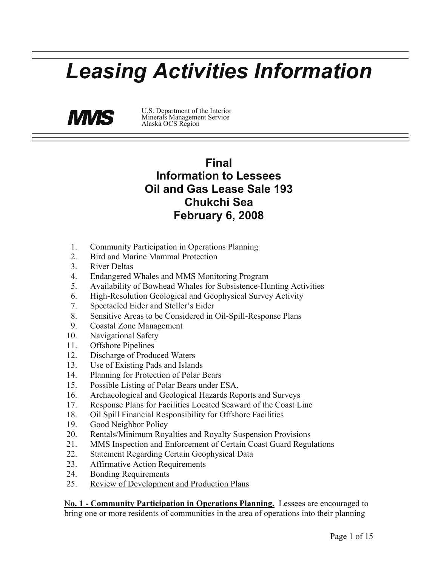## *Leasing Activities Information*



U.S. Department of the Interior Minerals Management Service Alaska OCS Region

## **Final Information to Lessees Oil and Gas Lease Sale 193 Chukchi Sea February 6, 2008**

- 1. Community Participation in Operations Planning
- 2. Bird and Marine Mammal Protection
- 3. River Deltas
- 4. Endangered Whales and MMS Monitoring Program
- 5. Availability of Bowhead Whales for Subsistence-Hunting Activities
- 6. High-Resolution Geological and Geophysical Survey Activity
- 7. Spectacled Eider and Steller's Eider
- 8. Sensitive Areas to be Considered in Oil-Spill-Response Plans
- 9. Coastal Zone Management
- 10. Navigational Safety
- 11. Offshore Pipelines
- 12. Discharge of Produced Waters
- 13. Use of Existing Pads and Islands
- 14. Planning for Protection of Polar Bears
- 15. Possible Listing of Polar Bears under ESA.
- 16. Archaeological and Geological Hazards Reports and Surveys
- 17. Response Plans for Facilities Located Seaward of the Coast Line
- 18. Oil Spill Financial Responsibility for Offshore Facilities
- 19. Good Neighbor Policy
- 20. Rentals/Minimum Royalties and Royalty Suspension Provisions
- 21. MMS Inspection and Enforcement of Certain Coast Guard Regulations
- 22. Statement Regarding Certain Geophysical Data
- 23. Affirmative Action Requirements
- 24. Bonding Requirements
- 25. Review of Development and Production Plans

N**o. 1 - Community Participation in Operations Planning.** Lessees are encouraged to bring one or more residents of communities in the area of operations into their planning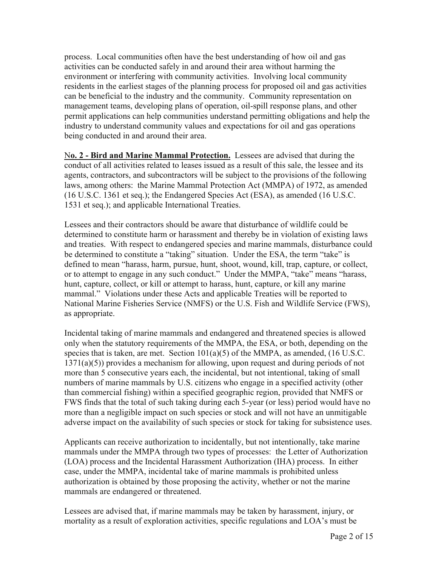process. Local communities often have the best understanding of how oil and gas activities can be conducted safely in and around their area without harming the environment or interfering with community activities. Involving local community residents in the earliest stages of the planning process for proposed oil and gas activities can be beneficial to the industry and the community. Community representation on management teams, developing plans of operation, oil-spill response plans, and other permit applications can help communities understand permitting obligations and help the industry to understand community values and expectations for oil and gas operations being conducted in and around their area.

N**o. 2 - Bird and Marine Mammal Protection.** Lessees are advised that during the conduct of all activities related to leases issued as a result of this sale, the lessee and its agents, contractors, and subcontractors will be subject to the provisions of the following laws, among others: the Marine Mammal Protection Act (MMPA) of 1972, as amended (16 U.S.C. 1361 et seq.); the Endangered Species Act (ESA), as amended (16 U.S.C. 1531 et seq.); and applicable International Treaties.

Lessees and their contractors should be aware that disturbance of wildlife could be determined to constitute harm or harassment and thereby be in violation of existing laws and treaties. With respect to endangered species and marine mammals, disturbance could be determined to constitute a "taking" situation. Under the ESA, the term "take" is defined to mean "harass, harm, pursue, hunt, shoot, wound, kill, trap, capture, or collect, or to attempt to engage in any such conduct." Under the MMPA, "take" means "harass, hunt, capture, collect, or kill or attempt to harass, hunt, capture, or kill any marine mammal." Violations under these Acts and applicable Treaties will be reported to National Marine Fisheries Service (NMFS) or the U.S. Fish and Wildlife Service (FWS), as appropriate.

Incidental taking of marine mammals and endangered and threatened species is allowed only when the statutory requirements of the MMPA, the ESA, or both, depending on the species that is taken, are met. Section 101(a)(5) of the MMPA, as amended, (16 U.S.C. 1371(a)(5)) provides a mechanism for allowing, upon request and during periods of not more than 5 consecutive years each, the incidental, but not intentional, taking of small numbers of marine mammals by U.S. citizens who engage in a specified activity (other than commercial fishing) within a specified geographic region, provided that NMFS or FWS finds that the total of such taking during each 5-year (or less) period would have no more than a negligible impact on such species or stock and will not have an unmitigable adverse impact on the availability of such species or stock for taking for subsistence uses.

Applicants can receive authorization to incidentally, but not intentionally, take marine mammals under the MMPA through two types of processes: the Letter of Authorization (LOA) process and the Incidental Harassment Authorization (IHA) process. In either case, under the MMPA, incidental take of marine mammals is prohibited unless authorization is obtained by those proposing the activity, whether or not the marine mammals are endangered or threatened.

Lessees are advised that, if marine mammals may be taken by harassment, injury, or mortality as a result of exploration activities, specific regulations and LOA's must be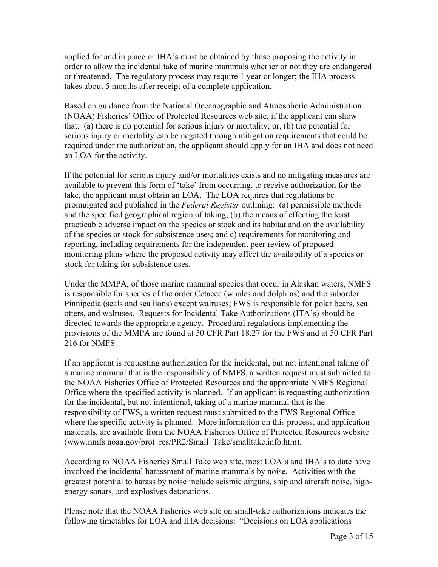applied for and in place or IHA's must be obtained by those proposing the activity in order to allow the incidental take of marine mammals whether or not they are endangered or threatened. The regulatory process may require 1 year or longer; the IHA process takes about 5 months after receipt of a complete application.

Based on guidance from the National Oceanographic and Atmospheric Administration (NOAA) Fisheries' Office of Protected Resources web site, if the applicant can show that: (a) there is no potential for serious injury or mortality; or, (b) the potential for serious injury or mortality can be negated through mitigation requirements that could be required under the authorization, the applicant should apply for an IHA and does not need an LOA for the activity.

If the potential for serious injury and/or mortalities exists and no mitigating measures are available to prevent this form of 'take' from occurring, to receive authorization for the take, the applicant must obtain an LOA. The LOA requires that regulations be promulgated and published in the *Federal Register* outlining: (a) permissible methods and the specified geographical region of taking; (b) the means of effecting the least practicable adverse impact on the species or stock and its habitat and on the availability of the species or stock for subsistence uses; and c) requirements for monitoring and reporting, including requirements for the independent peer review of proposed monitoring plans where the proposed activity may affect the availability of a species or stock for taking for subsistence uses.

Under the MMPA, of those marine mammal species that occur in Alaskan waters, NMFS is responsible for species of the order Cetacea (whales and dolphins) and the suborder Pinnipedia (seals and sea lions) except walruses; FWS is responsible for polar bears, sea otters, and walruses. Requests for Incidental Take Authorizations (ITA's) should be directed towards the appropriate agency. Procedural regulations implementing the provisions of the MMPA are found at 50 CFR Part 18.27 for the FWS and at 50 CFR Part 216 for NMFS.

If an applicant is requesting authorization for the incidental, but not intentional taking of a marine mammal that is the responsibility of NMFS, a written request must submitted to the NOAA Fisheries Office of Protected Resources and the appropriate NMFS Regional Office where the specified activity is planned. If an applicant is requesting authorization for the incidental, but not intentional, taking of a marine mammal that is the responsibility of FWS, a written request must submitted to the FWS Regional Office where the specific activity is planned. More information on this process, and application materials, are available from the NOAA Fisheries Office of Protected Resources website (www.nmfs.noaa.gov/prot\_res/PR2/Small\_Take/smalltake.info.htm).

According to NOAA Fisheries Small Take web site, most LOA's and IHA's to date have involved the incidental harassment of marine mammals by noise. Activities with the greatest potential to harass by noise include seismic airguns, ship and aircraft noise, highenergy sonars, and explosives detonations.

Please note that the NOAA Fisheries web site on small-take authorizations indicates the following timetables for LOA and IHA decisions: "Decisions on LOA applications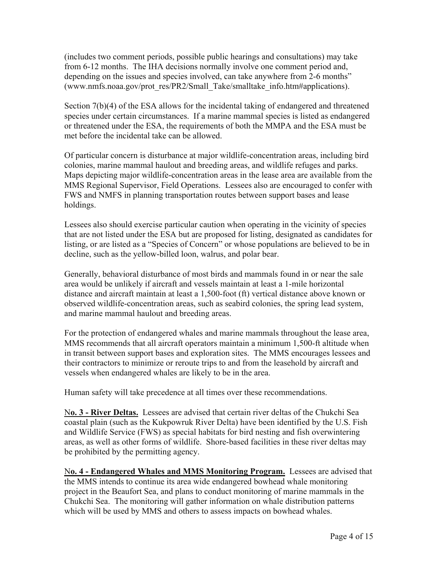(includes two comment periods, possible public hearings and consultations) may take from 6-12 months. The IHA decisions normally involve one comment period and, depending on the issues and species involved, can take anywhere from 2-6 months" (www.nmfs.noaa.gov/prot\_res/PR2/Small\_Take/smalltake\_info.htm#applications).

Section 7(b)(4) of the ESA allows for the incidental taking of endangered and threatened species under certain circumstances. If a marine mammal species is listed as endangered or threatened under the ESA, the requirements of both the MMPA and the ESA must be met before the incidental take can be allowed.

Of particular concern is disturbance at major wildlife-concentration areas, including bird colonies, marine mammal haulout and breeding areas, and wildlife refuges and parks. Maps depicting major wildlife-concentration areas in the lease area are available from the MMS Regional Supervisor, Field Operations. Lessees also are encouraged to confer with FWS and NMFS in planning transportation routes between support bases and lease holdings.

Lessees also should exercise particular caution when operating in the vicinity of species that are not listed under the ESA but are proposed for listing, designated as candidates for listing, or are listed as a "Species of Concern" or whose populations are believed to be in decline, such as the yellow-billed loon, walrus, and polar bear.

Generally, behavioral disturbance of most birds and mammals found in or near the sale area would be unlikely if aircraft and vessels maintain at least a 1-mile horizontal distance and aircraft maintain at least a 1,500-foot (ft) vertical distance above known or observed wildlife-concentration areas, such as seabird colonies, the spring lead system, and marine mammal haulout and breeding areas.

For the protection of endangered whales and marine mammals throughout the lease area, MMS recommends that all aircraft operators maintain a minimum 1,500-ft altitude when in transit between support bases and exploration sites. The MMS encourages lessees and their contractors to minimize or reroute trips to and from the leasehold by aircraft and vessels when endangered whales are likely to be in the area.

Human safety will take precedence at all times over these recommendations.

N**o. 3 - River Deltas.** Lessees are advised that certain river deltas of the Chukchi Sea coastal plain (such as the Kukpowruk River Delta) have been identified by the U.S. Fish and Wildlife Service (FWS) as special habitats for bird nesting and fish overwintering areas, as well as other forms of wildlife. Shore-based facilities in these river deltas may be prohibited by the permitting agency.

N**o. 4 - Endangered Whales and MMS Monitoring Program.** Lessees are advised that the MMS intends to continue its area wide endangered bowhead whale monitoring project in the Beaufort Sea, and plans to conduct monitoring of marine mammals in the Chukchi Sea. The monitoring will gather information on whale distribution patterns which will be used by MMS and others to assess impacts on bowhead whales.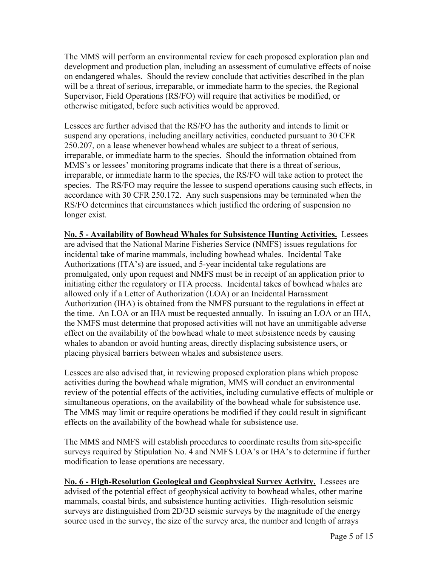The MMS will perform an environmental review for each proposed exploration plan and development and production plan, including an assessment of cumulative effects of noise on endangered whales. Should the review conclude that activities described in the plan will be a threat of serious, irreparable, or immediate harm to the species, the Regional Supervisor, Field Operations (RS/FO) will require that activities be modified, or otherwise mitigated, before such activities would be approved.

Lessees are further advised that the RS/FO has the authority and intends to limit or suspend any operations, including ancillary activities, conducted pursuant to 30 CFR 250.207, on a lease whenever bowhead whales are subject to a threat of serious, irreparable, or immediate harm to the species. Should the information obtained from MMS's or lessees' monitoring programs indicate that there is a threat of serious, irreparable, or immediate harm to the species, the RS/FO will take action to protect the species. The RS/FO may require the lessee to suspend operations causing such effects, in accordance with 30 CFR 250.172. Any such suspensions may be terminated when the RS/FO determines that circumstances which justified the ordering of suspension no longer exist.

N**o. 5 - Availability of Bowhead Whales for Subsistence Hunting Activities.** Lessees are advised that the National Marine Fisheries Service (NMFS) issues regulations for incidental take of marine mammals, including bowhead whales. Incidental Take Authorizations (ITA's) are issued, and 5-year incidental take regulations are promulgated, only upon request and NMFS must be in receipt of an application prior to initiating either the regulatory or ITA process. Incidental takes of bowhead whales are allowed only if a Letter of Authorization (LOA) or an Incidental Harassment Authorization (IHA) is obtained from the NMFS pursuant to the regulations in effect at the time. An LOA or an IHA must be requested annually. In issuing an LOA or an IHA, the NMFS must determine that proposed activities will not have an unmitigable adverse effect on the availability of the bowhead whale to meet subsistence needs by causing whales to abandon or avoid hunting areas, directly displacing subsistence users, or placing physical barriers between whales and subsistence users.

Lessees are also advised that, in reviewing proposed exploration plans which propose activities during the bowhead whale migration, MMS will conduct an environmental review of the potential effects of the activities, including cumulative effects of multiple or simultaneous operations, on the availability of the bowhead whale for subsistence use. The MMS may limit or require operations be modified if they could result in significant effects on the availability of the bowhead whale for subsistence use.

The MMS and NMFS will establish procedures to coordinate results from site-specific surveys required by Stipulation No. 4 and NMFS LOA's or IHA's to determine if further modification to lease operations are necessary.

N**o. 6 - High-Resolution Geological and Geophysical Survey Activity.** Lessees are advised of the potential effect of geophysical activity to bowhead whales, other marine mammals, coastal birds, and subsistence hunting activities. High-resolution seismic surveys are distinguished from 2D/3D seismic surveys by the magnitude of the energy source used in the survey, the size of the survey area, the number and length of arrays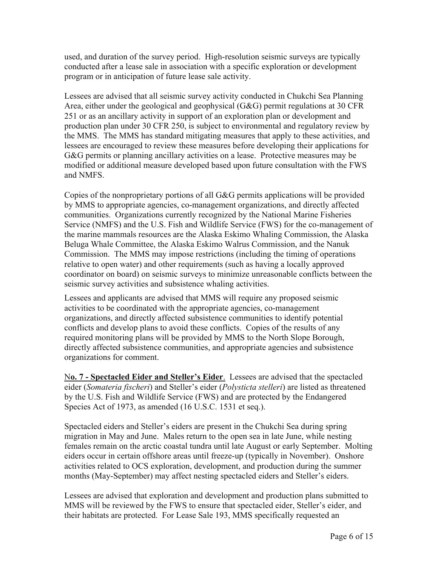used, and duration of the survey period. High-resolution seismic surveys are typically conducted after a lease sale in association with a specific exploration or development program or in anticipation of future lease sale activity.

Lessees are advised that all seismic survey activity conducted in Chukchi Sea Planning Area, either under the geological and geophysical (G&G) permit regulations at 30 CFR 251 or as an ancillary activity in support of an exploration plan or development and production plan under 30 CFR 250, is subject to environmental and regulatory review by the MMS. The MMS has standard mitigating measures that apply to these activities, and lessees are encouraged to review these measures before developing their applications for G&G permits or planning ancillary activities on a lease. Protective measures may be modified or additional measure developed based upon future consultation with the FWS and NMFS.

Copies of the nonproprietary portions of all G&G permits applications will be provided by MMS to appropriate agencies, co-management organizations, and directly affected communities. Organizations currently recognized by the National Marine Fisheries Service (NMFS) and the U.S. Fish and Wildlife Service (FWS) for the co-management of the marine mammals resources are the Alaska Eskimo Whaling Commission, the Alaska Beluga Whale Committee, the Alaska Eskimo Walrus Commission, and the Nanuk Commission. The MMS may impose restrictions (including the timing of operations relative to open water) and other requirements (such as having a locally approved coordinator on board) on seismic surveys to minimize unreasonable conflicts between the seismic survey activities and subsistence whaling activities.

Lessees and applicants are advised that MMS will require any proposed seismic activities to be coordinated with the appropriate agencies, co-management organizations, and directly affected subsistence communities to identify potential conflicts and develop plans to avoid these conflicts. Copies of the results of any required monitoring plans will be provided by MMS to the North Slope Borough, directly affected subsistence communities, and appropriate agencies and subsistence organizations for comment.

N**o. 7 - Spectacled Eider and Steller's Eider**. Lessees are advised that the spectacled eider (*Somateria fischeri*) and Steller's eider (*Polysticta stelleri*) are listed as threatened by the U.S. Fish and Wildlife Service (FWS) and are protected by the Endangered Species Act of 1973, as amended (16 U.S.C. 1531 et seq.).

Spectacled eiders and Steller's eiders are present in the Chukchi Sea during spring migration in May and June. Males return to the open sea in late June, while nesting females remain on the arctic coastal tundra until late August or early September. Molting eiders occur in certain offshore areas until freeze-up (typically in November). Onshore activities related to OCS exploration, development, and production during the summer months (May-September) may affect nesting spectacled eiders and Steller's eiders.

Lessees are advised that exploration and development and production plans submitted to MMS will be reviewed by the FWS to ensure that spectacled eider, Steller's eider, and their habitats are protected. For Lease Sale 193, MMS specifically requested an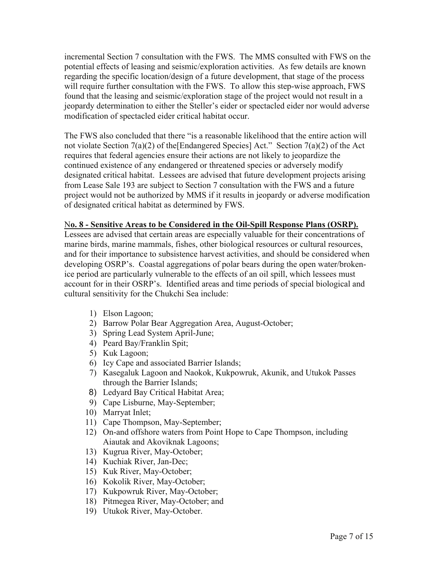incremental Section 7 consultation with the FWS. The MMS consulted with FWS on the potential effects of leasing and seismic/exploration activities. As few details are known regarding the specific location/design of a future development, that stage of the process will require further consultation with the FWS. To allow this step-wise approach, FWS found that the leasing and seismic/exploration stage of the project would not result in a jeopardy determination to either the Steller's eider or spectacled eider nor would adverse modification of spectacled eider critical habitat occur.

The FWS also concluded that there "is a reasonable likelihood that the entire action will not violate Section 7(a)(2) of the[Endangered Species] Act." Section 7(a)(2) of the Act requires that federal agencies ensure their actions are not likely to jeopardize the continued existence of any endangered or threatened species or adversely modify designated critical habitat. Lessees are advised that future development projects arising from Lease Sale 193 are subject to Section 7 consultation with the FWS and a future project would not be authorized by MMS if it results in jeopardy or adverse modification of designated critical habitat as determined by FWS.

## N**o. 8 - Sensitive Areas to be Considered in the Oil-Spill Response Plans (OSRP).**

Lessees are advised that certain areas are especially valuable for their concentrations of marine birds, marine mammals, fishes, other biological resources or cultural resources, and for their importance to subsistence harvest activities, and should be considered when developing OSRP's. Coastal aggregations of polar bears during the open water/brokenice period are particularly vulnerable to the effects of an oil spill, which lessees must account for in their OSRP's. Identified areas and time periods of special biological and cultural sensitivity for the Chukchi Sea include:

- 1) Elson Lagoon;
- 2) Barrow Polar Bear Aggregation Area, August-October;
- 3) Spring Lead System April-June;
- 4) Peard Bay/Franklin Spit;
- 5) Kuk Lagoon;
- 6) Icy Cape and associated Barrier Islands;
- 7) Kasegaluk Lagoon and Naokok, Kukpowruk, Akunik, and Utukok Passes through the Barrier Islands;
- 8) Ledyard Bay Critical Habitat Area;
- 9) Cape Lisburne, May-September;
- 10) Marryat Inlet;
- 11) Cape Thompson, May-September;
- 12) On-and offshore waters from Point Hope to Cape Thompson, including Aiautak and Akoviknak Lagoons;
- 13) Kugrua River, May-October;
- 14) Kuchiak River, Jan-Dec;
- 15) Kuk River, May-October;
- 16) Kokolik River, May-October;
- 17) Kukpowruk River, May-October;
- 18) Pitmegea River, May-October; and
- 19) Utukok River, May-October.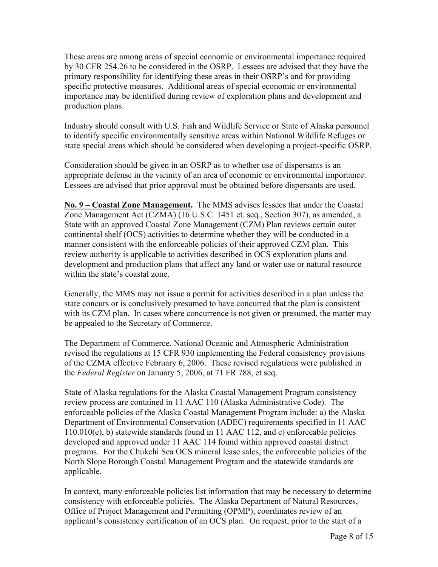These areas are among areas of special economic or environmental importance required by 30 CFR 254.26 to be considered in the OSRP. Lessees are advised that they have the primary responsibility for identifying these areas in their OSRP's and for providing specific protective measures. Additional areas of special economic or environmental importance may be identified during review of exploration plans and development and production plans.

Industry should consult with U.S. Fish and Wildlife Service or State of Alaska personnel to identify specific environmentally sensitive areas within National Wildlife Refuges or state special areas which should be considered when developing a project-specific OSRP.

Consideration should be given in an OSRP as to whether use of dispersants is an appropriate defense in the vicinity of an area of economic or environmental importance. Lessees are advised that prior approval must be obtained before dispersants are used.

**No. 9 – Coastal Zone Management.** The MMS advises lessees that under the Coastal Zone Management Act (CZMA) (16 U.S.C. 1451 et. seq., Section 307), as amended, a State with an approved Coastal Zone Management (CZM) Plan reviews certain outer continental shelf (OCS) activities to determine whether they will be conducted in a manner consistent with the enforceable policies of their approved CZM plan. This review authority is applicable to activities described in OCS exploration plans and development and production plans that affect any land or water use or natural resource within the state's coastal zone.

Generally, the MMS may not issue a permit for activities described in a plan unless the state concurs or is conclusively presumed to have concurred that the plan is consistent with its CZM plan. In cases where concurrence is not given or presumed, the matter may be appealed to the Secretary of Commerce.

The Department of Commerce, National Oceanic and Atmospheric Administration revised the regulations at 15 CFR 930 implementing the Federal consistency provisions of the CZMA effective February 6, 2006. These revised regulations were published in the *Federal Register* on January 5, 2006, at 71 FR 788, et seq.

State of Alaska regulations for the Alaska Coastal Management Program consistency review process are contained in 11 AAC 110 (Alaska Administrative Code). The enforceable policies of the Alaska Coastal Management Program include: a) the Alaska Department of Environmental Conservation (ADEC) requirements specified in 11 AAC 110.010(e), b) statewide standards found in 11 AAC 112, and c) enforceable policies developed and approved under 11 AAC 114 found within approved coastal district programs. For the Chukchi Sea OCS mineral lease sales, the enforceable policies of the North Slope Borough Coastal Management Program and the statewide standards are applicable.

In context, many enforceable policies list information that may be necessary to determine consistency with enforceable policies. The Alaska Department of Natural Resources, Office of Project Management and Permitting (OPMP), coordinates review of an applicant's consistency certification of an OCS plan. On request, prior to the start of a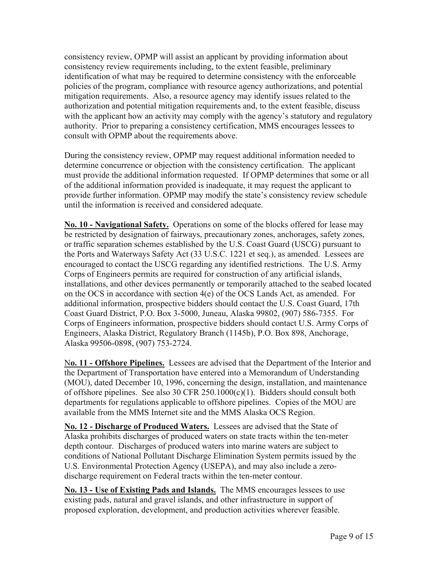consistency review, OPMP will assist an applicant by providing information about consistency review requirements including, to the extent feasible, preliminary identification of what may be required to determine consistency with the enforceable policies of the program, compliance with resource agency authorizations, and potential mitigation requirements. Also, a resource agency may identify issues related to the authorization and potential mitigation requirements and, to the extent feasible, discuss with the applicant how an activity may comply with the agency's statutory and regulatory authority. Prior to preparing a consistency certification, MMS encourages lessees to consult with OPMP about the requirements above.

During the consistency review, OPMP may request additional information needed to determine concurrence or objection with the consistency certification. The applicant must provide the additional information requested. If OPMP determines that some or all of the additional information provided is inadequate, it may request the applicant to provide further information. OPMP may modify the state's consistency review schedule until the information is received and considered adequate.

**No. 10 - Navigational Safety.** Operations on some of the blocks offered for lease may be restricted by designation of fairways, precautionary zones, anchorages, safety zones, or traffic separation schemes established by the U.S. Coast Guard (USCG) pursuant to the Ports and Waterways Safety Act (33 U.S.C. 1221 et seq.), as amended. Lessees are encouraged to contact the USCG regarding any identified restrictions. The U.S. Army Corps of Engineers permits are required for construction of any artificial islands, installations, and other devices permanently or temporarily attached to the seabed located on the OCS in accordance with section 4(e) of the OCS Lands Act, as amended. For additional information, prospective bidders should contact the U.S. Coast Guard, 17th Coast Guard District, P.O. Box 3-5000, Juneau, Alaska 99802, (907) 586-7355. For Corps of Engineers information, prospective bidders should contact U.S. Army Corps of Engineers, Alaska District, Regulatory Branch (1145b), P.O. Box 898, Anchorage, Alaska 99506-0898, (907) 753-2724.

N**o. 11 - Offshore Pipelines.** Lessees are advised that the Department of the Interior and the Department of Transportation have entered into a Memorandum of Understanding (MOU), dated December 10, 1996, concerning the design, installation, and maintenance of offshore pipelines. See also 30 CFR 250.1000(c)(1). Bidders should consult both departments for regulations applicable to offshore pipelines. Copies of the MOU are available from the MMS Internet site and the MMS Alaska OCS Region.

**No. 12 - Discharge of Produced Waters.** Lessees are advised that the State of Alaska prohibits discharges of produced waters on state tracts within the ten-meter depth contour. Discharges of produced waters into marine waters are subject to conditions of National Pollutant Discharge Elimination System permits issued by the U.S. Environmental Protection Agency (USEPA), and may also include a zerodischarge requirement on Federal tracts within the ten-meter contour.

**No. 13 - Use of Existing Pads and Islands.** The MMS encourages lessees to use existing pads, natural and gravel islands, and other infrastructure in support of proposed exploration, development, and production activities wherever feasible.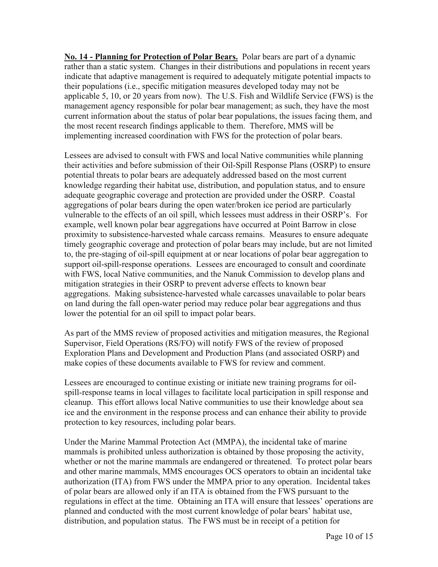**No. 14 - Planning for Protection of Polar Bears.** Polar bears are part of a dynamic rather than a static system. Changes in their distributions and populations in recent years indicate that adaptive management is required to adequately mitigate potential impacts to their populations (i.e., specific mitigation measures developed today may not be applicable 5, 10, or 20 years from now). The U.S. Fish and Wildlife Service (FWS) is the management agency responsible for polar bear management; as such, they have the most current information about the status of polar bear populations, the issues facing them, and the most recent research findings applicable to them. Therefore, MMS will be implementing increased coordination with FWS for the protection of polar bears.

Lessees are advised to consult with FWS and local Native communities while planning their activities and before submission of their Oil-Spill Response Plans (OSRP) to ensure potential threats to polar bears are adequately addressed based on the most current knowledge regarding their habitat use, distribution, and population status, and to ensure adequate geographic coverage and protection are provided under the OSRP. Coastal aggregations of polar bears during the open water/broken ice period are particularly vulnerable to the effects of an oil spill, which lessees must address in their OSRP's. For example, well known polar bear aggregations have occurred at Point Barrow in close proximity to subsistence-harvested whale carcass remains. Measures to ensure adequate timely geographic coverage and protection of polar bears may include, but are not limited to, the pre-staging of oil-spill equipment at or near locations of polar bear aggregation to support oil-spill-response operations. Lessees are encouraged to consult and coordinate with FWS, local Native communities, and the Nanuk Commission to develop plans and mitigation strategies in their OSRP to prevent adverse effects to known bear aggregations. Making subsistence-harvested whale carcasses unavailable to polar bears on land during the fall open-water period may reduce polar bear aggregations and thus lower the potential for an oil spill to impact polar bears.

As part of the MMS review of proposed activities and mitigation measures, the Regional Supervisor, Field Operations (RS/FO) will notify FWS of the review of proposed Exploration Plans and Development and Production Plans (and associated OSRP) and make copies of these documents available to FWS for review and comment.

Lessees are encouraged to continue existing or initiate new training programs for oilspill-response teams in local villages to facilitate local participation in spill response and cleanup. This effort allows local Native communities to use their knowledge about sea ice and the environment in the response process and can enhance their ability to provide protection to key resources, including polar bears.

Under the Marine Mammal Protection Act (MMPA), the incidental take of marine mammals is prohibited unless authorization is obtained by those proposing the activity, whether or not the marine mammals are endangered or threatened. To protect polar bears and other marine mammals, MMS encourages OCS operators to obtain an incidental take authorization (ITA) from FWS under the MMPA prior to any operation. Incidental takes of polar bears are allowed only if an ITA is obtained from the FWS pursuant to the regulations in effect at the time. Obtaining an ITA will ensure that lessees' operations are planned and conducted with the most current knowledge of polar bears' habitat use, distribution, and population status. The FWS must be in receipt of a petition for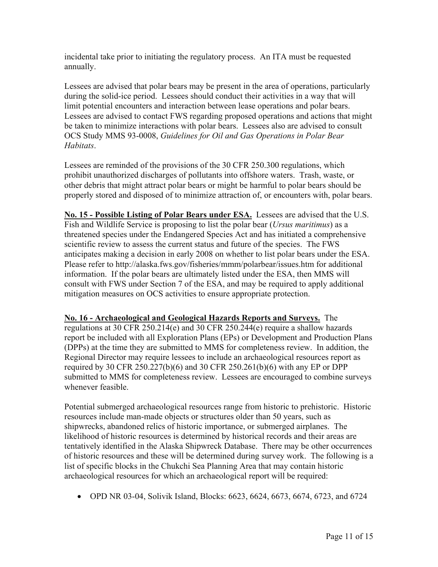incidental take prior to initiating the regulatory process. An ITA must be requested annually.

Lessees are advised that polar bears may be present in the area of operations, particularly during the solid-ice period. Lessees should conduct their activities in a way that will limit potential encounters and interaction between lease operations and polar bears. Lessees are advised to contact FWS regarding proposed operations and actions that might be taken to minimize interactions with polar bears. Lessees also are advised to consult OCS Study MMS 93-0008, *Guidelines for Oil and Gas Operations in Polar Bear Habitats*.

Lessees are reminded of the provisions of the 30 CFR 250.300 regulations, which prohibit unauthorized discharges of pollutants into offshore waters. Trash, waste, or other debris that might attract polar bears or might be harmful to polar bears should be properly stored and disposed of to minimize attraction of, or encounters with, polar bears.

**No. 15** *-* **Possible Listing of Polar Bears under ESA.** Lessees are advised that the U.S. Fish and Wildlife Service is proposing to list the polar bear (*Ursus maritimus*) as a threatened species under the Endangered Species Act and has initiated a comprehensive scientific review to assess the current status and future of the species. The FWS anticipates making a decision in early 2008 on whether to list polar bears under the ESA. Please refer to<http://alaska.fws.gov/fisheries/mmm/polarbear/issues.htm>for additional information. If the polar bears are ultimately listed under the ESA, then MMS will consult with FWS under Section 7 of the ESA, and may be required to apply additional mitigation measures on OCS activities to ensure appropriate protection.

**No. 16 - Archaeological and Geological Hazards Reports and Surveys.** The regulations at 30 CFR 250.214(e) and 30 CFR 250.244(e) require a shallow hazards report be included with all Exploration Plans (EPs) or Development and Production Plans (DPPs) at the time they are submitted to MMS for completeness review. In addition, the Regional Director may require lessees to include an archaeological resources report as required by 30 CFR 250.227(b)(6) and 30 CFR 250.261(b)(6) with any EP or DPP submitted to MMS for completeness review. Lessees are encouraged to combine surveys whenever feasible.

Potential submerged archaeological resources range from historic to prehistoric. Historic resources include man-made objects or structures older than 50 years, such as shipwrecks, abandoned relics of historic importance, or submerged airplanes. The likelihood of historic resources is determined by historical records and their areas are tentatively identified in the Alaska Shipwreck Database. There may be other occurrences of historic resources and these will be determined during survey work. The following is a list of specific blocks in the Chukchi Sea Planning Area that may contain historic archaeological resources for which an archaeological report will be required:

• OPD NR 03-04, Solivik Island, Blocks: 6623, 6624, 6673, 6674, 6723, and 6724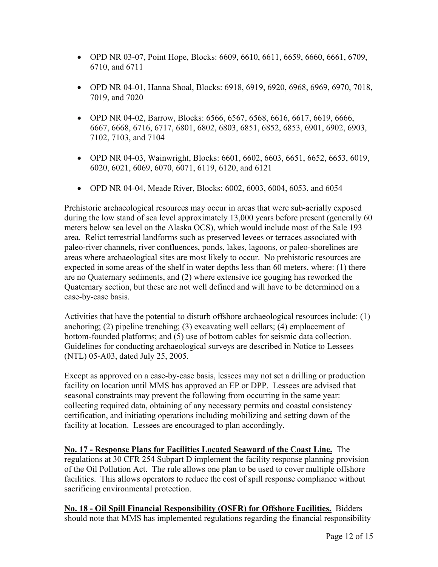- OPD NR 03-07, Point Hope, Blocks: 6609, 6610, 6611, 6659, 6660, 6661, 6709, 6710, and 6711
- OPD NR 04-01, Hanna Shoal, Blocks: 6918, 6919, 6920, 6968, 6969, 6970, 7018, 7019, and 7020
- OPD NR 04-02, Barrow, Blocks: 6566, 6567, 6568, 6616, 6617, 6619, 6666, 6667, 6668, 6716, 6717, 6801, 6802, 6803, 6851, 6852, 6853, 6901, 6902, 6903, 7102, 7103, and 7104
- OPD NR 04-03, Wainwright, Blocks: 6601, 6602, 6603, 6651, 6652, 6653, 6019, 6020, 6021, 6069, 6070, 6071, 6119, 6120, and 6121
- OPD NR 04-04, Meade River, Blocks: 6002, 6003, 6004, 6053, and 6054

Prehistoric archaeological resources may occur in areas that were sub-aerially exposed during the low stand of sea level approximately 13,000 years before present (generally 60 meters below sea level on the Alaska OCS), which would include most of the Sale 193 area. Relict terrestrial landforms such as preserved levees or terraces associated with paleo-river channels, river confluences, ponds, lakes, lagoons, or paleo-shorelines are areas where archaeological sites are most likely to occur. No prehistoric resources are expected in some areas of the shelf in water depths less than 60 meters, where: (1) there are no Quaternary sediments, and (2) where extensive ice gouging has reworked the Quaternary section, but these are not well defined and will have to be determined on a case-by-case basis.

Activities that have the potential to disturb offshore archaeological resources include: (1) anchoring; (2) pipeline trenching; (3) excavating well cellars; (4) emplacement of bottom-founded platforms; and (5) use of bottom cables for seismic data collection. Guidelines for conducting archaeological surveys are described in Notice to Lessees (NTL) 05-A03, dated July 25, 2005.

Except as approved on a case-by-case basis, lessees may not set a drilling or production facility on location until MMS has approved an EP or DPP. Lessees are advised that seasonal constraints may prevent the following from occurring in the same year: collecting required data, obtaining of any necessary permits and coastal consistency certification, and initiating operations including mobilizing and setting down of the facility at location. Lessees are encouraged to plan accordingly.

**No. 17 - Response Plans for Facilities Located Seaward of the Coast Line.** The regulations at 30 CFR 254 Subpart D implement the facility response planning provision of the Oil Pollution Act. The rule allows one plan to be used to cover multiple offshore facilities. This allows operators to reduce the cost of spill response compliance without sacrificing environmental protection.

**No. 18 - Oil Spill Financial Responsibility (OSFR) for Offshore Facilities.** Bidders should note that MMS has implemented regulations regarding the financial responsibility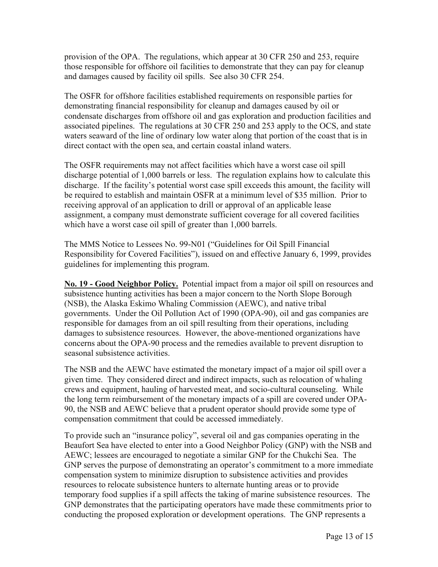provision of the OPA. The regulations, which appear at 30 CFR 250 and 253, require those responsible for offshore oil facilities to demonstrate that they can pay for cleanup and damages caused by facility oil spills. See also 30 CFR 254.

The OSFR for offshore facilities established requirements on responsible parties for demonstrating financial responsibility for cleanup and damages caused by oil or condensate discharges from offshore oil and gas exploration and production facilities and associated pipelines. The regulations at 30 CFR 250 and 253 apply to the OCS, and state waters seaward of the line of ordinary low water along that portion of the coast that is in direct contact with the open sea, and certain coastal inland waters.

The OSFR requirements may not affect facilities which have a worst case oil spill discharge potential of 1,000 barrels or less. The regulation explains how to calculate this discharge. If the facility's potential worst case spill exceeds this amount, the facility will be required to establish and maintain OSFR at a minimum level of \$35 million. Prior to receiving approval of an application to drill or approval of an applicable lease assignment, a company must demonstrate sufficient coverage for all covered facilities which have a worst case oil spill of greater than 1,000 barrels.

The MMS Notice to Lessees No. 99-N01 ("Guidelines for Oil Spill Financial Responsibility for Covered Facilities"), issued on and effective January 6, 1999, provides guidelines for implementing this program.

**No. 19 - Good Neighbor Policy.** Potential impact from a major oil spill on resources and subsistence hunting activities has been a major concern to the North Slope Borough (NSB), the Alaska Eskimo Whaling Commission (AEWC), and native tribal governments. Under the Oil Pollution Act of 1990 (OPA-90), oil and gas companies are responsible for damages from an oil spill resulting from their operations, including damages to subsistence resources. However, the above-mentioned organizations have concerns about the OPA-90 process and the remedies available to prevent disruption to seasonal subsistence activities.

The NSB and the AEWC have estimated the monetary impact of a major oil spill over a given time. They considered direct and indirect impacts, such as relocation of whaling crews and equipment, hauling of harvested meat, and socio-cultural counseling. While the long term reimbursement of the monetary impacts of a spill are covered under OPA-90, the NSB and AEWC believe that a prudent operator should provide some type of compensation commitment that could be accessed immediately.

To provide such an "insurance policy", several oil and gas companies operating in the Beaufort Sea have elected to enter into a Good Neighbor Policy (GNP) with the NSB and AEWC; lessees are encouraged to negotiate a similar GNP for the Chukchi Sea. The GNP serves the purpose of demonstrating an operator's commitment to a more immediate compensation system to minimize disruption to subsistence activities and provides resources to relocate subsistence hunters to alternate hunting areas or to provide temporary food supplies if a spill affects the taking of marine subsistence resources. The GNP demonstrates that the participating operators have made these commitments prior to conducting the proposed exploration or development operations. The GNP represents a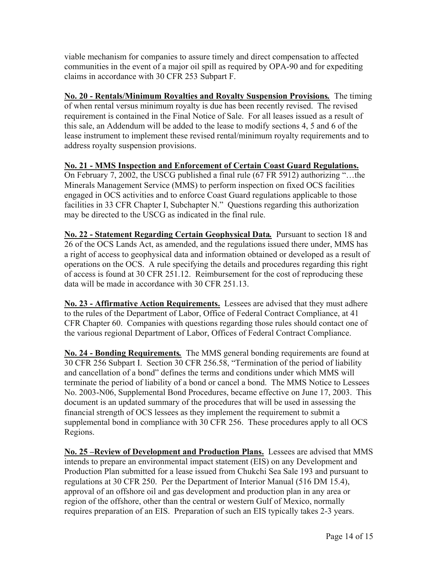viable mechanism for companies to assure timely and direct compensation to affected communities in the event of a major oil spill as required by OPA-90 and for expediting claims in accordance with 30 CFR 253 Subpart F.

**No. 20 - Rentals/Minimum Royalties and Royalty Suspension Provisions***.* The timing of when rental versus minimum royalty is due has been recently revised. The revised requirement is contained in the Final Notice of Sale. For all leases issued as a result of this sale, an Addendum will be added to the lease to modify sections 4, 5 and 6 of the lease instrument to implement these revised rental/minimum royalty requirements and to address royalty suspension provisions.

**No. 21 - MMS Inspection and Enforcement of Certain Coast Guard Regulations.** On February 7, 2002, the USCG published a final rule (67 FR 5912) authorizing "…the Minerals Management Service (MMS) to perform inspection on fixed OCS facilities engaged in OCS activities and to enforce Coast Guard regulations applicable to those facilities in 33 CFR Chapter I, Subchapter N." Questions regarding this authorization may be directed to the USCG as indicated in the final rule.

**No. 22 - Statement Regarding Certain Geophysical Data***.* Pursuant to section 18 and 26 of the OCS Lands Act, as amended, and the regulations issued there under, MMS has a right of access to geophysical data and information obtained or developed as a result of operations on the OCS. A rule specifying the details and procedures regarding this right of access is found at 30 CFR 251.12. Reimbursement for the cost of reproducing these data will be made in accordance with 30 CFR 251.13.

**No. 23 - Affirmative Action Requirements.** Lessees are advised that they must adhere to the rules of the Department of Labor, Office of Federal Contract Compliance, at 41 CFR Chapter 60. Companies with questions regarding those rules should contact one of the various regional Department of Labor, Offices of Federal Contract Compliance.

**No. 24 - Bonding Requirements***.* The MMS general bonding requirements are found at 30 CFR 256 Subpart I. Section 30 CFR 256.58, "Termination of the period of liability and cancellation of a bond" defines the terms and conditions under which MMS will terminate the period of liability of a bond or cancel a bond. The MMS Notice to Lessees No. 2003-N06, Supplemental Bond Procedures, became effective on June 17, 2003. This document is an updated summary of the procedures that will be used in assessing the financial strength of OCS lessees as they implement the requirement to submit a supplemental bond in compliance with 30 CFR 256. These procedures apply to all OCS Regions.

**No. 25 –Review of Development and Production Plans.** Lessees are advised that MMS intends to prepare an environmental impact statement (EIS) on any Development and Production Plan submitted for a lease issued from Chukchi Sea Sale 193 and pursuant to regulations at 30 CFR 250. Per the Department of Interior Manual (516 DM 15.4), approval of an offshore oil and gas development and production plan in any area or region of the offshore, other than the central or western Gulf of Mexico, normally requires preparation of an EIS. Preparation of such an EIS typically takes 2-3 years.